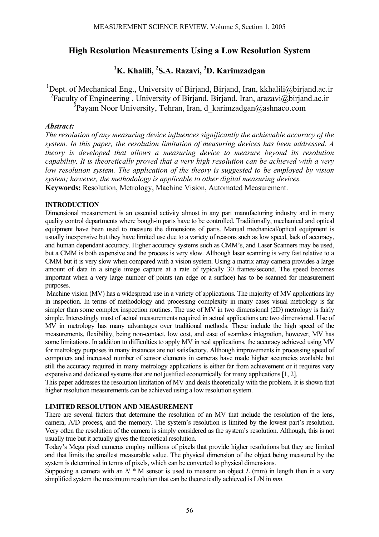## **High Resolution Measurements Using a Low Resolution System**

# <sup>1</sup>K. Khalili, <sup>2</sup>S.A. Razavi, <sup>3</sup>D. Karimzadgan

<sup>1</sup>Dept. of Mechanical Eng., University of Birjand, Birjand, Iran, kkhalili@birjand.ac.ir <sup>2</sup> Faculty of Engineering, University of Birjand, Birjand, Iran, arazavi@birjand.ac.ir <sup>3</sup>Payam Noor University, Tehran, Iran, d\_karimzadgan@ashnaco.com

## *Abstract:*

*The resolution of any measuring device influences significantly the achievable accuracy of the system. In this paper, the resolution limitation of measuring devices has been addressed. A theory is developed that allows a measuring device to measure beyond its resolution capability. It is theoretically proved that a very high resolution can be achieved with a very low resolution system. The application of the theory is suggested to be employed by vision system; however, the methodology is applicable to other digital measuring devices.*  **Keywords:** Resolution, Metrology, Machine Vision, Automated Measurement.

## **INTRODUCTION**

Dimensional measurement is an essential activity almost in any part manufacturing industry and in many quality control departments where bough-in parts have to be controlled. Traditionally, mechanical and optical equipment have been used to measure the dimensions of parts. Manual mechanical/optical equipment is usually inexpensive but they have limited use due to a variety of reasons such as low speed, lack of accuracy, and human dependant accuracy. Higher accuracy systems such as CMM's, and Laser Scanners may be used, but a CMM is both expensive and the process is very slow. Although laser scanning is very fast relative to a CMM but it is very slow when compared with a vision system. Using a matrix array camera provides a large amount of data in a single image capture at a rate of typically 30 frames/second. The speed becomes important when a very large number of points (an edge or a surface) has to be scanned for measurement purposes.

Machine vision (MV) has a widespread use in a variety of applications. The majority of MV applications lay in inspection. In terms of methodology and processing complexity in many cases visual metrology is far simpler than some complex inspection routines. The use of MV in two dimensional (2D) metrology is fairly simple. Interestingly most of actual measurements required in actual applications are two dimensional. Use of MV in metrology has many advantages over traditional methods. These include the high speed of the measurements, flexibility, being non-contact, low cost, and ease of seamless integration, however, MV has some limitations. In addition to difficulties to apply MV in real applications, the accuracy achieved using MV for metrology purposes in many instances are not satisfactory. Although improvements in processing speed of computers and increased number of sensor elements in cameras have made higher accuracies available but still the accuracy required in many metrology applications is either far from achievement or it requires very expensive and dedicated systems that are not justified economically for many applications [1, 2].

This paper addresses the resolution limitation of MV and deals theoretically with the problem. It is shown that higher resolution measurements can be achieved using a low resolution system.

## **LIMITED RESOLUTION AND MEASUREMENT**

There are several factors that determine the resolution of an MV that include the resolution of the lens, camera, A/D process, and the memory. The system's resolution is limited by the lowest part's resolution. Very often the resolution of the camera is simply considered as the system's resolution. Although, this is not usually true but it actually gives the theoretical resolution.

Today's Mega pixel cameras employ millions of pixels that provide higher resolutions but they are limited and that limits the smallest measurable value. The physical dimension of the object being measured by the system is determined in terms of pixels, which can be converted to physical dimensions.

Supposing a camera with an  $N^*$  M sensor is used to measure an object  $L$  (mm) in length then in a very simplified system the maximum resolution that can be theoretically achieved is L/N in *mm.*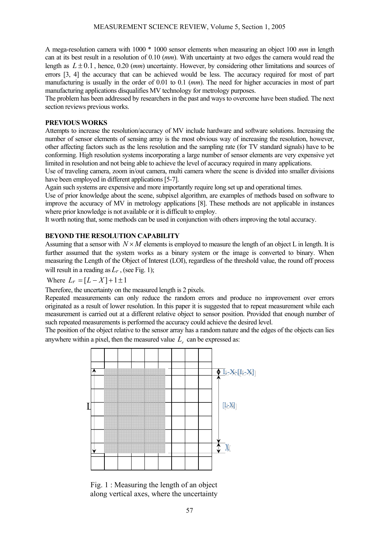A mega-resolution camera with 1000 \* 1000 sensor elements when measuring an object 100 *mm* in length can at its best result in a resolution of 0.10 (*mm*). With uncertainty at two edges the camera would read the length as *L* ± 0.1, hence, 0.20 (*mm*) uncertainty. However, by considering other limitations and sources of errors [3, 4] the accuracy that can be achieved would be less. The accuracy required for most of part manufacturing is usually in the order of 0.01 to 0.1 (*mm*). The need for higher accuracies in most of part manufacturing applications disqualifies MV technology for metrology purposes.

The problem has been addressed by researchers in the past and ways to overcome have been studied. The next section reviews previous works.

### **PREVIOUS WORKS**

Attempts to increase the resolution/accuracy of MV include hardware and software solutions. Increasing the number of sensor elements of sensing array is the most obvious way of increasing the resolution, however, other affecting factors such as the lens resolution and the sampling rate (for TV standard signals) have to be conforming. High resolution systems incorporating a large number of sensor elements are very expensive yet limited in resolution and not being able to achieve the level of accuracy required in many applications.

Use of traveling camera, zoom in/out camera, multi camera where the scene is divided into smaller divisions have been employed in different applications [5-7].

Again such systems are expensive and more importantly require long set up and operational times.

Use of prior knowledge about the scene, subpixel algorithm, are examples of methods based on software to improve the accuracy of MV in metrology applications [8]. These methods are not applicable in instances where prior knowledge is not available or it is difficult to employ.

It worth noting that, some methods can be used in conjunction with others improving the total accuracy.

## **BEYOND THE RESOLUTION CAPABILITY**

Assuming that a sensor with  $N \times M$  elements is employed to measure the length of an object L in length. It is further assumed that the system works as a binary system or the image is converted to binary. When measuring the Length of the Object of Interest (LOI), regardless of the threshold value, the round off process will result in a reading as  $L_r$ , (see Fig. 1);

Where  $L_r = [L - X] + 1 \pm 1$ 

Therefore, the uncertainty on the measured length is 2 pixels.

Repeated measurements can only reduce the random errors and produce no improvement over errors originated as a result of lower resolution. In this paper it is suggested that to repeat measurement while each measurement is carried out at a different relative object to sensor position. Provided that enough number of such repeated measurements is performed the accuracy could achieve the desired level.

The position of the object relative to the sensor array has a random nature and the edges of the objects can lies anywhere within a pixel, then the measured value  $L_r$  can be expressed as:



Fig. 1 : Measuring the length of an object along vertical axes, where the uncertainty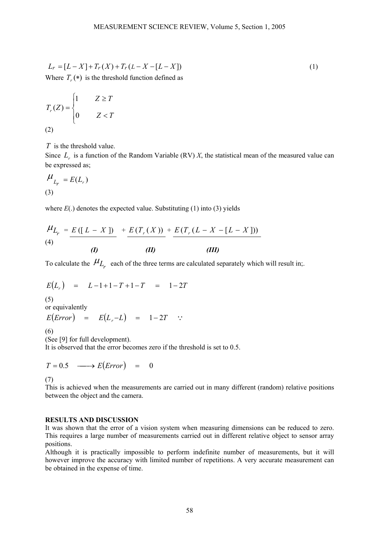$$
L_r = [L - X] + T_r(X) + T_r(L - X - [L - X])
$$
  
Where  $T_r(*)$  is the threshold function defined as

$$
T_r(Z) = \begin{cases} 1 & Z \ge T \\ 0 & Z < T \end{cases}
$$
\n(2)

*T* is the threshold value.

Since  $L_r$  is a function of the Random Variable (RV)  $X$ , the statistical mean of the measured value can be expressed as;

$$
\frac{\mu}{L_r} = E(L_r)
$$
\n(3)

where  $E(.)$  denotes the expected value. Substituting  $(1)$  into  $(3)$  yields

$$
\frac{\mu_{L_r}}{(4)} = \frac{E([L - X])}{(D)} + \frac{E(T_r(X))}{(D)} + \frac{E(T_r(L - X - [L - X]))}{(ID)}
$$

To calculate the  $\mu_{L_r}$  each of the three terms are calculated separately which will result in;.

$$
E(L_r) = L - 1 + 1 - T + 1 - T = 1 - 2T
$$

(5)

or equivalently

$$
E\big(Error\big) = E\big(L_r - L\big) = 1 - 2T ::
$$

(6)

(See [9] for full development). It is observed that the error becomes zero if the threshold is set to 0.5.

$$
T = 0.5 \quad \longrightarrow E\big( Error\big) \quad = \quad 0
$$

(7)

This is achieved when the measurements are carried out in many different (random) relative positions between the object and the camera.

#### **RESULTS AND DISCUSSION**

It was shown that the error of a vision system when measuring dimensions can be reduced to zero. This requires a large number of measurements carried out in different relative object to sensor array positions.

Although it is practically impossible to perform indefinite number of measurements, but it will however improve the accuracy with limited number of repetitions. A very accurate measurement can be obtained in the expense of time.